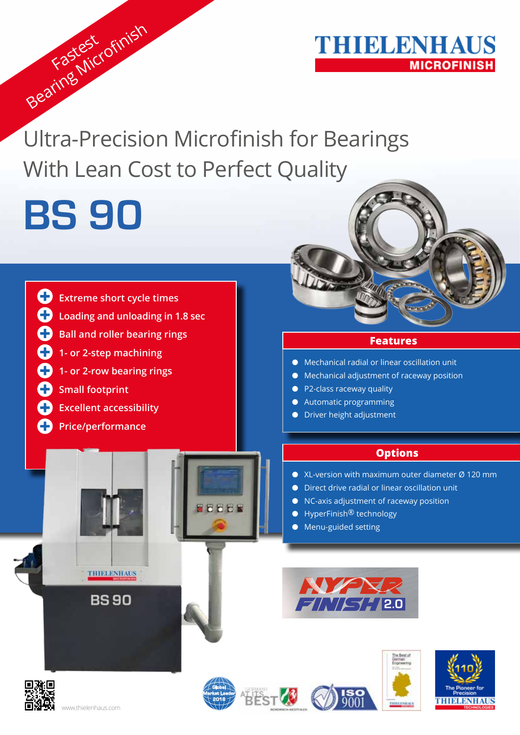## **THIELENHAUS MICROFINISH**

Ultra-Precision Microfinish for Bearings With Lean Cost to Perfect Quality

**BS 90**

Fastest

Bearing Microfinish

0 **Extreme short cycle times**  O **Loading and unloading in 1.8 sec** ⊕ **Ball and roller bearing rings** O **1- or 2-step machining** 63 **1- or 2-row bearing rings** Œ **Small footprint** Œ **Excellent accessibility** O **Price/performance**

## **Features**

- Mechanical radial or linear oscillation unit
- Mechanical adjustment of raceway position
- P2-class raceway quality
- Automatic programming
- Driver height adjustment

## **Options**

- XL-version with maximum outer diameter Ø 120 mm
- Direct drive radial or linear oscillation unit
- NC-axis adjustment of raceway position
- $\bullet$  HyperFinish<sup>®</sup> technology
- Menu-guided setting





**THIELENHAUS** 

**BS90** 



FEEEL